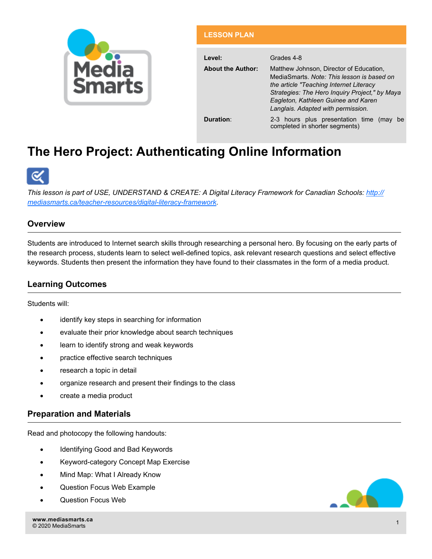

#### **LESSON PLAN**

| Level:                   | Grades 4-8                                                                                                                                                                                                                                                       |  |  |
|--------------------------|------------------------------------------------------------------------------------------------------------------------------------------------------------------------------------------------------------------------------------------------------------------|--|--|
| <b>About the Author:</b> | Matthew Johnson, Director of Education,<br>MediaSmarts, Note: This lesson is based on<br>the article "Teaching Internet Literacy"<br>Strategies: The Hero Inquiry Project," by Maya<br>Eagleton, Kathleen Guinee and Karen<br>Langlais. Adapted with permission. |  |  |
| Duration:                | 2-3 hours plus presentation time (may<br>be<br>completed in shorter segments)                                                                                                                                                                                    |  |  |

# **The Hero Project: Authenticating Online Information**



*This lesson is part of USE, UNDERSTAND & CREATE: A Digital Literacy Framework for Canadian Schools: http:// mediasmarts.ca/teacher-resources/digital-literacy-framework.* 

## **Overview**

Students are introduced to Internet search skills through researching a personal hero. By focusing on the early parts of the research process, students learn to select well-defined topics, ask relevant research questions and select effective keywords. Students then present the information they have found to their classmates in the form of a media product.

## **Learning Outcomes**

Students will:

- identify key steps in searching for information
- evaluate their prior knowledge about search techniques
- **.** learn to identify strong and weak keywords
- practice effective search techniques
- research a topic in detail
- organize research and present their findings to the class
- create a media product

### **Preparation and Materials**

Read and photocopy the following handouts:

- Identifying Good and Bad Keywords
- Keyword-category Concept Map Exercise
- Mind Map: What I Already Know
- Question Focus Web Example
- Question Focus Web

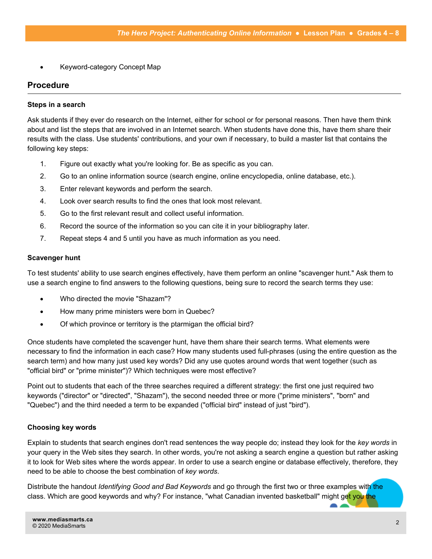Keyword-category Concept Map

## **Procedure**

#### **Steps in a search**

Ask students if they ever do research on the Internet, either for school or for personal reasons. Then have them think about and list the steps that are involved in an Internet search. When students have done this, have them share their results with the class. Use students' contributions, and your own if necessary, to build a master list that contains the following key steps:

- 1. Figure out exactly what you're looking for. Be as specific as you can.
- 2. Go to an online information source (search engine, online encyclopedia, online database, etc.).
- 3. Enter relevant keywords and perform the search.
- 4. Look over search results to find the ones that look most relevant.
- 5. Go to the first relevant result and collect useful information.
- 6. Record the source of the information so you can cite it in your bibliography later.
- 7. Repeat steps 4 and 5 until you have as much information as you need.

#### **Scavenger hunt**

To test students' ability to use search engines effectively, have them perform an online "scavenger hunt." Ask them to use a search engine to find answers to the following questions, being sure to record the search terms they use:

- Who directed the movie "Shazam"?
- How many prime ministers were born in Quebec?
- Of which province or territory is the ptarmigan the official bird?

Once students have completed the scavenger hunt, have them share their search terms. What elements were necessary to find the information in each case? How many students used full-phrases (using the entire question as the search term) and how many just used key words? Did any use quotes around words that went together (such as "official bird" or "prime minister")? Which techniques were most effective?

Point out to students that each of the three searches required a different strategy: the first one just required two keywords ("director" or "directed", "Shazam"), the second needed three or more ("prime ministers", "born" and "Quebec") and the third needed a term to be expanded ("official bird" instead of just "bird").

### **Choosing key words**

Explain to students that search engines don't read sentences the way people do; instead they look for the *key words* in your query in the Web sites they search. In other words, you're not asking a search engine a question but rather asking it to look for Web sites where the words appear. In order to use a search engine or database effectively, therefore, they need to be able to choose the best combination of *key words*.

Distribute the handout *Identifying Good and Bad Keywords* and go through the first two or three examples with the class. Which are good keywords and why? For instance, "what Canadian invented basketball" might get you the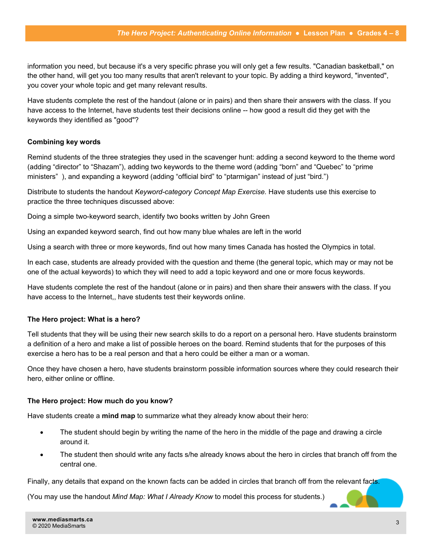information you need, but because it's a very specific phrase you will only get a few results. "Canadian basketball," on the other hand, will get you too many results that aren't relevant to your topic. By adding a third keyword, "invented", you cover your whole topic and get many relevant results.

Have students complete the rest of the handout (alone or in pairs) and then share their answers with the class. If you have access to the Internet, have students test their decisions online -- how good a result did they get with the keywords they identified as "good"?

#### **Combining key words**

Remind students of the three strategies they used in the scavenger hunt: adding a second keyword to the theme word (adding "director" to "Shazam"), adding two keywords to the theme word (adding "born" and "Quebec" to "prime ministers" ), and expanding a keyword (adding "official bird" to "ptarmigan" instead of just "bird.")

Distribute to students the handout *Keyword-category Concept Map Exercise.* Have students use this exercise to practice the three techniques discussed above:

Doing a simple two-keyword search, identify two books written by John Green

Using an expanded keyword search, find out how many blue whales are left in the world

Using a search with three or more keywords, find out how many times Canada has hosted the Olympics in total.

In each case, students are already provided with the question and theme (the general topic, which may or may not be one of the actual keywords) to which they will need to add a topic keyword and one or more focus keywords.

Have students complete the rest of the handout (alone or in pairs) and then share their answers with the class. If you have access to the Internet,, have students test their keywords online.

#### **The Hero project: What is a hero?**

Tell students that they will be using their new search skills to do a report on a personal hero. Have students brainstorm a definition of a hero and make a list of possible heroes on the board. Remind students that for the purposes of this exercise a hero has to be a real person and that a hero could be either a man or a woman.

Once they have chosen a hero, have students brainstorm possible information sources where they could research their hero, either online or offline.

#### **The Hero project: How much do you know?**

Have students create a **mind map** to summarize what they already know about their hero:

- The student should begin by writing the name of the hero in the middle of the page and drawing a circle around it.
- The student then should write any facts s/he already knows about the hero in circles that branch off from the central one.

Finally, any details that expand on the known facts can be added in circles that branch off from the relevant facts.

(You may use the handout *Mind Map: What I Already Know* to model this process for students.)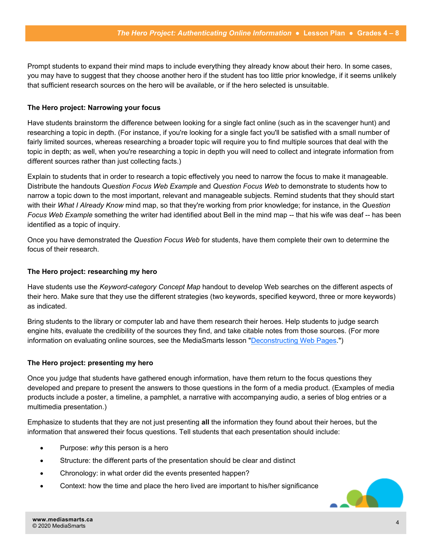Prompt students to expand their mind maps to include everything they already know about their hero. In some cases, you may have to suggest that they choose another hero if the student has too little prior knowledge, if it seems unlikely that sufficient research sources on the hero will be available, or if the hero selected is unsuitable.

#### **The Hero project: Narrowing your focus**

Have students brainstorm the difference between looking for a single fact online (such as in the scavenger hunt) and researching a topic in depth. (For instance, if you're looking for a single fact you'll be satisfied with a small number of fairly limited sources, whereas researching a broader topic will require you to find multiple sources that deal with the topic in depth; as well, when you're researching a topic in depth you will need to collect and integrate information from different sources rather than just collecting facts.)

Explain to students that in order to research a topic effectively you need to narrow the focus to make it manageable. Distribute the handouts *Question Focus Web Example* and *Question Focus Web* to demonstrate to students how to narrow a topic down to the most important, relevant and manageable subjects. Remind students that they should start with their *What I Already Know* mind map, so that they're working from prior knowledge; for instance, in the *Question Focus Web Example* something the writer had identified about Bell in the mind map -- that his wife was deaf -- has been identified as a topic of inquiry.

Once you have demonstrated the *Question Focus Web* for students, have them complete their own to determine the focus of their research.

#### **The Hero project: researching my hero**

Have students use the *Keyword-category Concept Map* handout to develop Web searches on the different aspects of their hero. Make sure that they use the different strategies (two keywords, specified keyword, three or more keywords) as indicated.

Bring students to the library or computer lab and have them research their heroes. Help students to judge search engine hits, evaluate the credibility of the sources they find, and take citable notes from those sources. (For more information on evaluating online sources, see the MediaSmarts lesson "[Deconstructing Web Pages."](http://mediasmarts.ca/lessonplan/deconstructing-web-pages-lesson))

#### **The Hero project: presenting my hero**

Once you judge that students have gathered enough information, have them return to the focus questions they developed and prepare to present the answers to those questions in the form of a media product. (Examples of media products include a poster, a timeline, a pamphlet, a narrative with accompanying audio, a series of blog entries or a multimedia presentation.)

Emphasize to students that they are not just presenting **all** the information they found about their heroes, but the information that answered their focus questions. Tell students that each presentation should include:

- Purpose: *why* this person is a hero
- Structure: the different parts of the presentation should be clear and distinct
- Chronology: in what order did the events presented happen?
- Context: how the time and place the hero lived are important to his/her significance

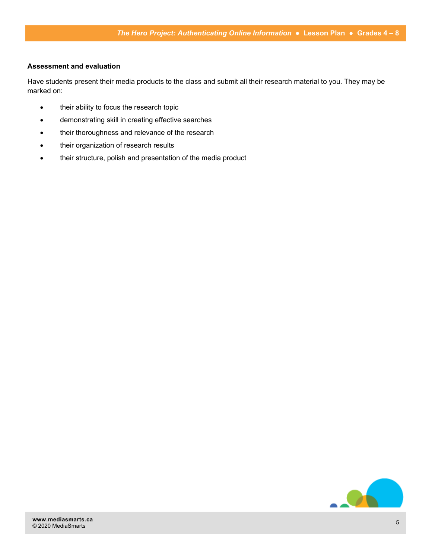### **Assessment and evaluation**

Have students present their media products to the class and submit all their research material to you. They may be marked on:

- their ability to focus the research topic
- demonstrating skill in creating effective searches
- their thoroughness and relevance of the research
- their organization of research results
- their structure, polish and presentation of the media product

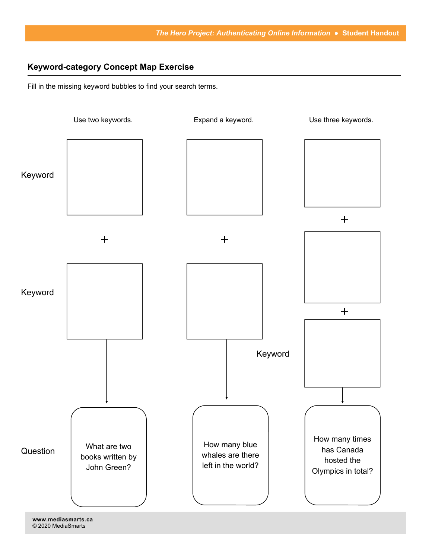## **Keyword-category Concept Map Exercise**

Fill in the missing keyword bubbles to find your search terms.



**www.mediasmarts.ca**  © 2020 MediaSmarts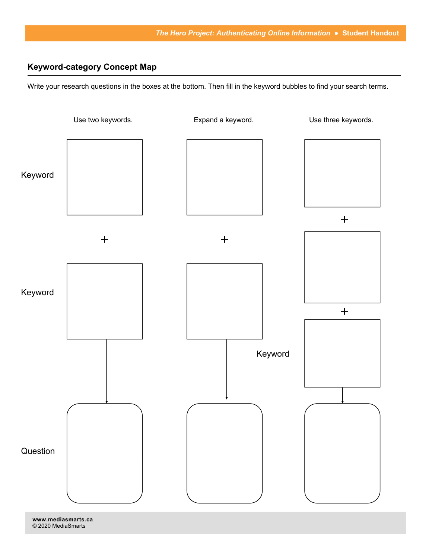# **Keyword-category Concept Map**

Write your research questions in the boxes at the bottom. Then fill in the keyword bubbles to find your search terms.



© 2020 MediaSmarts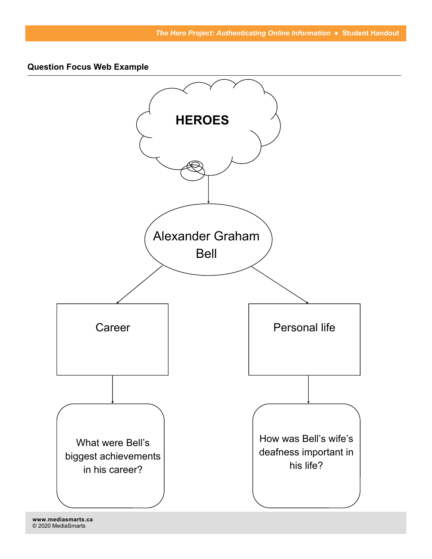**Question Focus Web Example** 

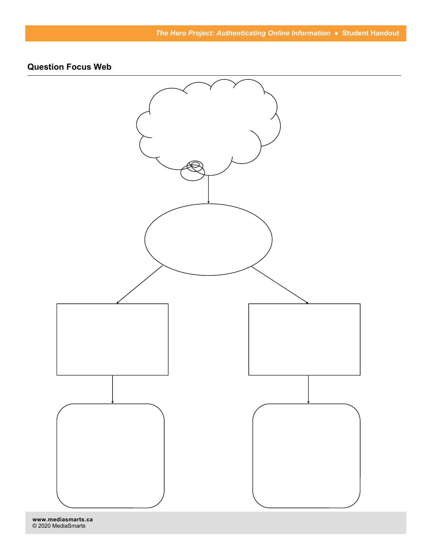# **Question Focus Web**



**www.mediasmarts.ca**  © 2020 MediaSmarts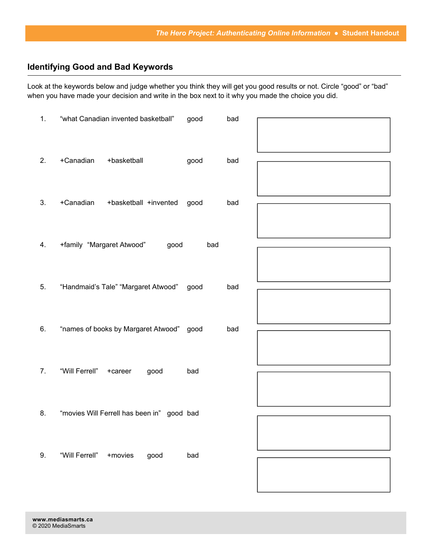# **Identifying Good and Bad Keywords**

Look at the keywords below and judge whether you think they will get you good results or not. Circle "good" or "bad" when you have made your decision and write in the box next to it why you made the choice you did.

| 1. | "what Canadian invented basketball"        | good | bad |  |
|----|--------------------------------------------|------|-----|--|
| 2. | +Canadian<br>+basketball                   | good | bad |  |
| 3. | +Canadian<br>+basketball +invented         | good | bad |  |
| 4. | +family "Margaret Atwood"<br>good          | bad  |     |  |
| 5. | "Handmaid's Tale" "Margaret Atwood"        | good | bad |  |
| 6. | "names of books by Margaret Atwood" good   |      | bad |  |
| 7. | "Will Ferrell"<br>+career<br>good          | bad  |     |  |
| 8. | "movies Will Ferrell has been in" good bad |      |     |  |
| 9. | "Will Ferrell" + movies<br>good            | bad  |     |  |
|    |                                            |      |     |  |